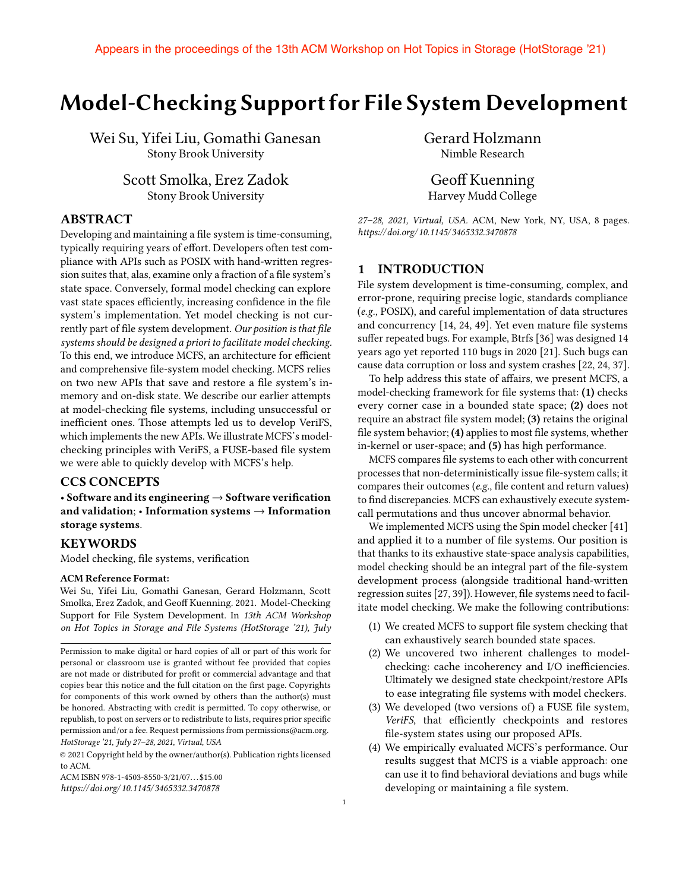# Model-Checking Support for File System Development

Wei Su, Yifei Liu, Gomathi Ganesan Stony Brook University

> Scott Smolka, Erez Zadok Stony Brook University

# ABSTRACT

Developing and maintaining a file system is time-consuming, typically requiring years of effort. Developers often test compliance with APIs such as POSIX with hand-written regression suites that, alas, examine only a fraction of a file system's state space. Conversely, formal model checking can explore vast state spaces efficiently, increasing confidence in the file system's implementation. Yet model checking is not currently part of file system development. Our position is that file *systems should be designed a priori to facilitate model checking.* To this end, we introduce MCFS, an architecture for efficient and comprehensive file-system model checking. MCFS relies on two new APIs that save and restore a file system's inmemory and on-disk state. We describe our earlier attempts at model-checking file systems, including unsuccessful or inefficient ones. Those attempts led us to develop VeriFS, which implements the new APIs. We illustrate MCFS's modelchecking principles with VeriFS, a FUSE-based file system we were able to quickly develop with MCFS's help.

# CCS CONCEPTS

• Software and its engineering  $\rightarrow$  Software verification and validation;  $\cdot$  Information systems  $\rightarrow$  Information storage systems.

#### **KEYWORDS**

Model checking, file systems, verification

#### ACM Reference Format:

Wei Su, Yifei Liu, Gomathi Ganesan, Gerard Holzmann, Scott Smolka, Erez Zadok, and Geoff Kuenning. 2021. Model-Checking Support for File System Development. In *13th ACM Workshop on Hot Topics in Storage and File Systems (HotStorage '21), July* Gerard Holzmann Nimble Research

Geoff Kuenning Harvey Mudd College

*27–28, 2021, Virtual, USA.* ACM, New York, NY, USA, 8 pages. *https://doi.org/ 10.1145/ 3465332.3470878*

# 1 INTRODUCTION

File system development is time-consuming, complex, and error-prone, requiring precise logic, standards compliance (*e.g.*, POSIX), and careful implementation of data structures and concurrency  $[14, 24, 49]$ . Yet even mature file systems suffer repeated bugs. For example, Btrfs [36] was designed 14 years ago yet reported 110 bugs in 2020 [21]. Such bugs can cause data corruption or loss and system crashes [22, 24, 37].

To help address this state of affairs, we present MCFS, a model-checking framework for file systems that: (1) checks every corner case in a bounded state space; (2) does not require an abstract file system model; (3) retains the original file system behavior;  $(4)$  applies to most file systems, whether in-kernel or user-space; and (5) has high performance.

MCFS compares file systems to each other with concurrent processes that non-deterministically issue file-system calls; it compares their outcomes (*e.g.*, file content and return values) to find discrepancies. MCFS can exhaustively execute systemcall permutations and thus uncover abnormal behavior.

We implemented MCFS using the Spin model checker [41] and applied it to a number of file systems. Our position is that thanks to its exhaustive state-space analysis capabilities, model checking should be an integral part of the file-system development process (alongside traditional hand-written regression suites [27, 39]). However, file systems need to facilitate model checking. We make the following contributions:

- (1) We created MCFS to support file system checking that can exhaustively search bounded state spaces.
- (2) We uncovered two inherent challenges to modelchecking: cache incoherency and I/O inefficiencies. Ultimately we designed state checkpoint/restore APIs to ease integrating file systems with model checkers.
- (3) We developed (two versions of) a FUSE file system, *VeriFS*, that efficiently checkpoints and restores file-system states using our proposed APIs.
- (4) We empirically evaluated MCFS's performance. Our results suggest that MCFS is a viable approach: one can use it to find behavioral deviations and bugs while developing or maintaining a file system.

Permission to make digital or hard copies of all or part of this work for personal or classroom use is granted without fee provided that copies are not made or distributed for profit or commercial advantage and that copies bear this notice and the full citation on the first page. Copyrights for components of this work owned by others than the author(s) must be honored. Abstracting with credit is permitted. To copy otherwise, or republish, to post on servers or to redistribute to lists, requires prior specific permission and/or a fee. Request permissions from permissions@acm.org. *HotStorage '21, July 27–28, 2021, Virtual, USA*

<sup>©</sup> 2021 Copyright held by the owner/author(s). Publication rights licensed to ACM.

ACM ISBN 978-1-4503-8550-3/21/07. . . \$15.00

*https://doi.org/ 10.1145/ 3465332.3470878*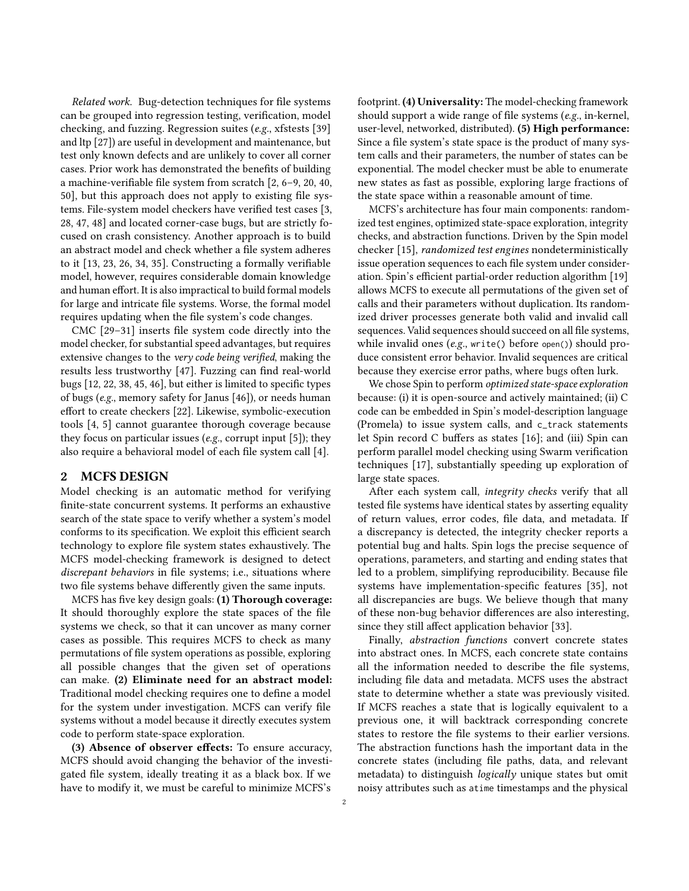*Related work.* Bug-detection techniques for file systems can be grouped into regression testing, verification, model checking, and fuzzing. Regression suites (*e.g.*, xfstests [39] and ltp [27]) are useful in development and maintenance, but test only known defects and are unlikely to cover all corner cases. Prior work has demonstrated the benefits of building a machine-verifiable file system from scratch  $[2, 6-9, 20, 40, 40]$ 50], but this approach does not apply to existing file systems. File-system model checkers have verified test cases [3, 28, 47, 48] and located corner-case bugs, but are strictly focused on crash consistency. Another approach is to build an abstract model and check whether a file system adheres to it  $[13, 23, 26, 34, 35]$ . Constructing a formally verifiable model, however, requires considerable domain knowledge and human effort. It is also impractical to build formal models for large and intricate file systems. Worse, the formal model requires updating when the file system's code changes.

CMC  $[29-31]$  inserts file system code directly into the model checker, for substantial speed advantages, but requires extensive changes to the *very code being verified*, making the results less trustworthy [47]. Fuzzing can find real-world bugs [12, 22, 38, 45, 46], but either is limited to specific types of bugs (*e.g.*, memory safety for Janus [46]), or needs human effort to create checkers [22]. Likewise, symbolic-execution tools [4, 5] cannot guarantee thorough coverage because they focus on particular issues (*e.g.*, corrupt input [5]); they also require a behavioral model of each file system call [4].

### 2 MCFS DESIGN

Model checking is an automatic method for verifying finite-state concurrent systems. It performs an exhaustive search of the state space to verify whether a system's model conforms to its specification. We exploit this efficient search technology to explore file system states exhaustively. The MCFS model-checking framework is designed to detect *discrepant behaviors* in file systems; i.e., situations where two file systems behave differently given the same inputs.

MCFS has five key design goals:  $(1)$  Thorough coverage: It should thoroughly explore the state spaces of the file systems we check, so that it can uncover as many corner cases as possible. This requires MCFS to check as many permutations of file system operations as possible, exploring all possible changes that the given set of operations can make. (2) Eliminate need for an abstract model: Traditional model checking requires one to define a model for the system under investigation. MCFS can verify file systems without a model because it directly executes system code to perform state-space exploration.

 $(3)$  Absence of observer effects: To ensure accuracy, MCFS should avoid changing the behavior of the investigated file system, ideally treating it as a black box. If we have to modify it, we must be careful to minimize MCFS's

footprint. (4) Universality: The model-checking framework should support a wide range of file systems (*e.g.*, in-kernel, user-level, networked, distributed). (5) High performance: Since a file system's state space is the product of many system calls and their parameters, the number of states can be exponential. The model checker must be able to enumerate new states as fast as possible, exploring large fractions of the state space within a reasonable amount of time.

MCFS's architecture has four main components: randomized test engines, optimized state-space exploration, integrity checks, and abstraction functions. Driven by the Spin model checker [15], *randomized test engines* nondeterministically issue operation sequences to each file system under consideration. Spin's efficient partial-order reduction algorithm [19] allows MCFS to execute all permutations of the given set of calls and their parameters without duplication. Its randomized driver processes generate both valid and invalid call sequences. Valid sequences should succeed on all file systems, while invalid ones (*e.g.*, write() before open()) should produce consistent error behavior. Invalid sequences are critical because they exercise error paths, where bugs often lurk.

We chose Spin to perform *optimized state-space exploration* because: (i) it is open-source and actively maintained; (ii) C code can be embedded in Spin's model-description language (Promela) to issue system calls, and c\_track statements let Spin record C buffers as states  $[16]$ ; and (iii) Spin can perform parallel model checking using Swarm verification techniques [17], substantially speeding up exploration of large state spaces.

After each system call, *integrity checks* verify that all tested file systems have identical states by asserting equality of return values, error codes, file data, and metadata. If a discrepancy is detected, the integrity checker reports a potential bug and halts. Spin logs the precise sequence of operations, parameters, and starting and ending states that led to a problem, simplifying reproducibility. Because file systems have implementation-specific features [35], not all discrepancies are bugs. We believe though that many of these non-bug behavior differences are also interesting, since they still affect application behavior [33].

Finally, *abstraction functions* convert concrete states into abstract ones. In MCFS, each concrete state contains all the information needed to describe the file systems, including file data and metadata. MCFS uses the abstract state to determine whether a state was previously visited. If MCFS reaches a state that is logically equivalent to a previous one, it will backtrack corresponding concrete states to restore the file systems to their earlier versions. The abstraction functions hash the important data in the concrete states (including file paths, data, and relevant metadata) to distinguish *logically* unique states but omit noisy attributes such as atime timestamps and the physical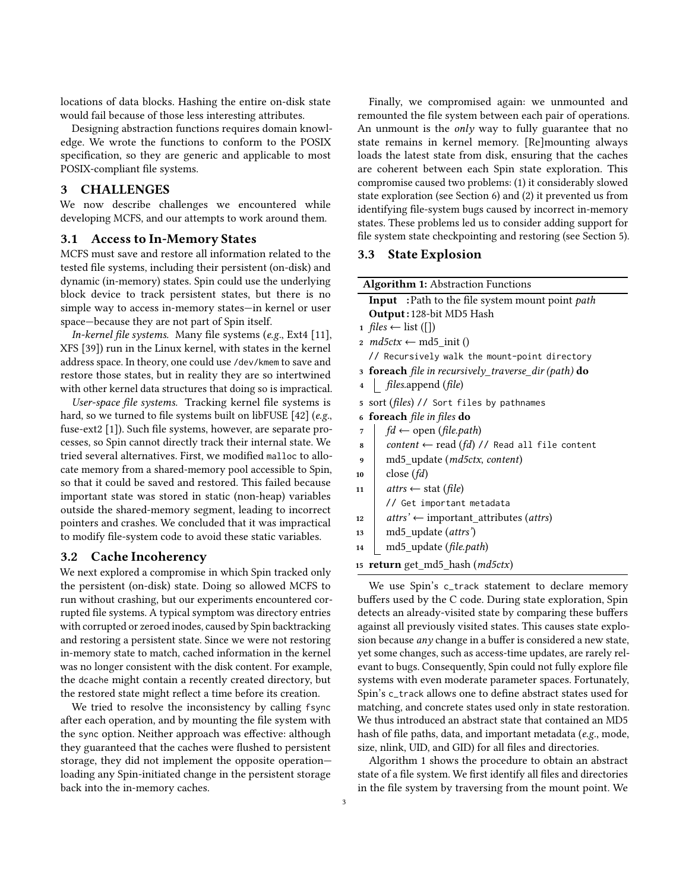locations of data blocks. Hashing the entire on-disk state would fail because of those less interesting attributes.

Designing abstraction functions requires domain knowledge. We wrote the functions to conform to the POSIX specification, so they are generic and applicable to most POSIX-compliant file systems.

#### 3 CHALLENGES

We now describe challenges we encountered while developing MCFS, and our attempts to work around them.

#### 3.1 Access to In-Memory States

MCFS must save and restore all information related to the tested file systems, including their persistent (on-disk) and dynamic (in-memory) states. Spin could use the underlying block device to track persistent states, but there is no simple way to access in-memory states—in kernel or user space—because they are not part of Spin itself.

*In-kernel file systems.* Many file systems (*e.g.*, Ext4 [11], XFS [39]) run in the Linux kernel, with states in the kernel address space. In theory, one could use /dev/kmem to save and restore those states, but in reality they are so intertwined with other kernel data structures that doing so is impractical.

*User-space file systems.* Tracking kernel file systems is hard, so we turned to file systems built on libFUSE [42] (*e.g.*, fuse-ext2 [1]). Such file systems, however, are separate processes, so Spin cannot directly track their internal state. We tried several alternatives. First, we modified malloc to allocate memory from a shared-memory pool accessible to Spin, so that it could be saved and restored. This failed because important state was stored in static (non-heap) variables outside the shared-memory segment, leading to incorrect pointers and crashes. We concluded that it was impractical to modify file-system code to avoid these static variables.

### 3.2 Cache Incoherency

We next explored a compromise in which Spin tracked only the persistent (on-disk) state. Doing so allowed MCFS to run without crashing, but our experiments encountered corrupted file systems. A typical symptom was directory entries with corrupted or zeroed inodes, caused by Spin backtracking and restoring a persistent state. Since we were not restoring in-memory state to match, cached information in the kernel was no longer consistent with the disk content. For example, the dcache might contain a recently created directory, but the restored state might reflect a time before its creation.

We tried to resolve the inconsistency by calling fsync after each operation, and by mounting the file system with the sync option. Neither approach was effective: although they guaranteed that the caches were flushed to persistent storage, they did not implement the opposite operation loading any Spin-initiated change in the persistent storage back into the in-memory caches.

Finally, we compromised again: we unmounted and remounted the file system between each pair of operations. An unmount is the *only* way to fully guarantee that no state remains in kernel memory. [Re]mounting always loads the latest state from disk, ensuring that the caches are coherent between each Spin state exploration. This compromise caused two problems: (1) it considerably slowed state exploration (see Section 6) and (2) it prevented us from identifying file-system bugs caused by incorrect in-memory states. These problems led us to consider adding support for file system state checkpointing and restoring (see Section 5).

#### 3.3 State Explosion

| <b>Algorithm 1: Abstraction Functions</b>            |                                                                |
|------------------------------------------------------|----------------------------------------------------------------|
|                                                      | <b>Input</b> : Path to the file system mount point <i>path</i> |
| Output: 128-bit MD5 Hash                             |                                                                |
| 1 <i>files</i> ← list ([])                           |                                                                |
| 2 <i>md5ctx</i> $\leftarrow$ md5 init ()             |                                                                |
| // Recursively walk the mount-point directory        |                                                                |
| 3 foreach file in recursively_traverse_dir (path) do |                                                                |
| $\overline{\mathbf{4}}$                              | files.append (file)                                            |
| sort (files) // Sort files by pathnames<br>5         |                                                                |
| foreach file in files do<br>6                        |                                                                |
| 7                                                    | $fd \leftarrow$ open (file.path)                               |
| 8                                                    | content $\leftarrow$ read (fd) // Read all file content        |
| 9                                                    | md5_update (md5ctx, content)                                   |
| 10                                                   | close $(fd)$                                                   |
| 11                                                   | <i>attrs</i> ← stat ( <i>file</i> )                            |
|                                                      | // Get important metadata                                      |
| 12                                                   | $atts' \leftarrow$ important attributes (attrs)                |
| 13                                                   | md5_update (attrs')                                            |
| 14                                                   | md5_update (file.path)                                         |
| <b>return</b> get_md5_hash ( <i>md5ctx</i> )<br>15   |                                                                |
| We use Spin's c track statement to declare me        |                                                                |

we use spin's c\_track statement to declare memory buffers used by the C code. During state exploration, Spin detects an already-visited state by comparing these buffers against all previously visited states. This causes state explosion because *any* change in a buffer is considered a new state, yet some changes, such as access-time updates, are rarely relevant to bugs. Consequently, Spin could not fully explore file systems with even moderate parameter spaces. Fortunately, Spin's c\_track allows one to define abstract states used for matching, and concrete states used only in state restoration. We thus introduced an abstract state that contained an MD5 hash of file paths, data, and important metadata (*e.g.*, mode, size, nlink, UID, and GID) for all files and directories.

Algorithm 1 shows the procedure to obtain an abstract state of a file system. We first identify all files and directories in the file system by traversing from the mount point. We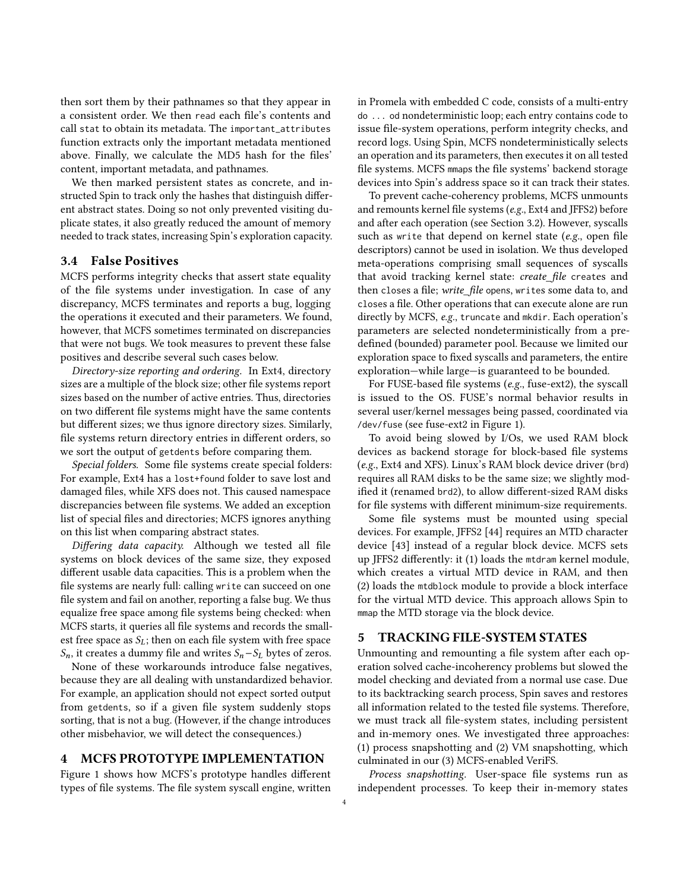then sort them by their pathnames so that they appear in a consistent order. We then read each file's contents and call stat to obtain its metadata. The important\_attributes function extracts only the important metadata mentioned above. Finally, we calculate the MD5 hash for the files' content, important metadata, and pathnames.

We then marked persistent states as concrete, and instructed Spin to track only the hashes that distinguish different abstract states. Doing so not only prevented visiting duplicate states, it also greatly reduced the amount of memory needed to track states, increasing Spin's exploration capacity.

# 3.4 False Positives

MCFS performs integrity checks that assert state equality of the file systems under investigation. In case of any discrepancy, MCFS terminates and reports a bug, logging the operations it executed and their parameters. We found, however, that MCFS sometimes terminated on discrepancies that were not bugs. We took measures to prevent these false positives and describe several such cases below.

*Directory-size reporting and ordering.* In Ext4, directory sizes are a multiple of the block size; other file systems report sizes based on the number of active entries. Thus, directories on two different file systems might have the same contents but different sizes; we thus ignore directory sizes. Similarly, file systems return directory entries in different orders, so we sort the output of getdents before comparing them.

*Special folders.* Some file systems create special folders: For example, Ext4 has a lost+found folder to save lost and damaged files, while XFS does not. This caused namespace discrepancies between file systems. We added an exception list of special files and directories; MCFS ignores anything on this list when comparing abstract states.

*Differing data capacity.* Although we tested all file systems on block devices of the same size, they exposed different usable data capacities. This is a problem when the file systems are nearly full: calling write can succeed on one file system and fail on another, reporting a false bug. We thus equalize free space among file systems being checked: when MCFS starts, it queries all file systems and records the smallest free space as  $S_L$ ; then on each file system with free space  $S_n$ , it creates a dummy file and writes  $S_n - S_L$  bytes of zeros.

None of these workarounds introduce false negatives, because they are all dealing with unstandardized behavior. For example, an application should not expect sorted output from getdents, so if a given file system suddenly stops sorting, that is not a bug. (However, if the change introduces other misbehavior, we will detect the consequences.)

# 4 MCFS PROTOTYPE IMPLEMENTATION

Figure 1 shows how MCFS's prototype handles different types of file systems. The file system syscall engine, written in Promela with embedded C code, consists of a multi-entry do ... od nondeterministic loop; each entry contains code to issue file-system operations, perform integrity checks, and record logs. Using Spin, MCFS nondeterministically selects an operation and its parameters, then executes it on all tested file systems. MCFS mmaps the file systems' backend storage devices into Spin's address space so it can track their states.

To prevent cache-coherency problems, MCFS unmounts and remounts kernel file systems (e.g., Ext4 and JFFS2) before and after each operation (see Section 3.2). However, syscalls such as write that depend on kernel state (e.g., open file descriptors) cannot be used in isolation. We thus developed meta-operations comprising small sequences of syscalls that avoid tracking kernel state: *create\_file* creates and then closes a file; write\_file opens, writes some data to, and closes a file. Other operations that can execute alone are run directly by MCFS, *e.g.*, truncate and mkdir. Each operation's parameters are selected nondeterministically from a predefined (bounded) parameter pool. Because we limited our exploration space to fixed syscalls and parameters, the entire exploration—while large—is guaranteed to be bounded.

For FUSE-based file systems (e.g., fuse-ext2), the syscall is issued to the OS. FUSE's normal behavior results in several user/kernel messages being passed, coordinated via /dev/fuse (see fuse-ext2 in Figure 1).

To avoid being slowed by I/Os, we used RAM block devices as backend storage for block-based file systems (*e.g.*, Ext4 and XFS). Linux's RAM block device driver (brd) requires all RAM disks to be the same size; we slightly modified it (renamed brd2), to allow different-sized RAM disks for file systems with different minimum-size requirements.

Some file systems must be mounted using special devices. For example, JFFS2 [44] requires an MTD character device [43] instead of a regular block device. MCFS sets up JFFS2 differently: it (1) loads the mtdram kernel module, which creates a virtual MTD device in RAM, and then (2) loads the mtdblock module to provide a block interface for the virtual MTD device. This approach allows Spin to mmap the MTD storage via the block device.

# 5 TRACKING FILE-SYSTEM STATES

Unmounting and remounting a file system after each operation solved cache-incoherency problems but slowed the model checking and deviated from a normal use case. Due to its backtracking search process, Spin saves and restores all information related to the tested file systems. Therefore, we must track all file-system states, including persistent and in-memory ones. We investigated three approaches: (1) process snapshotting and (2) VM snapshotting, which culminated in our (3) MCFS-enabled VeriFS.

*Process snapshotting.* User-space file systems run as independent processes. To keep their in-memory states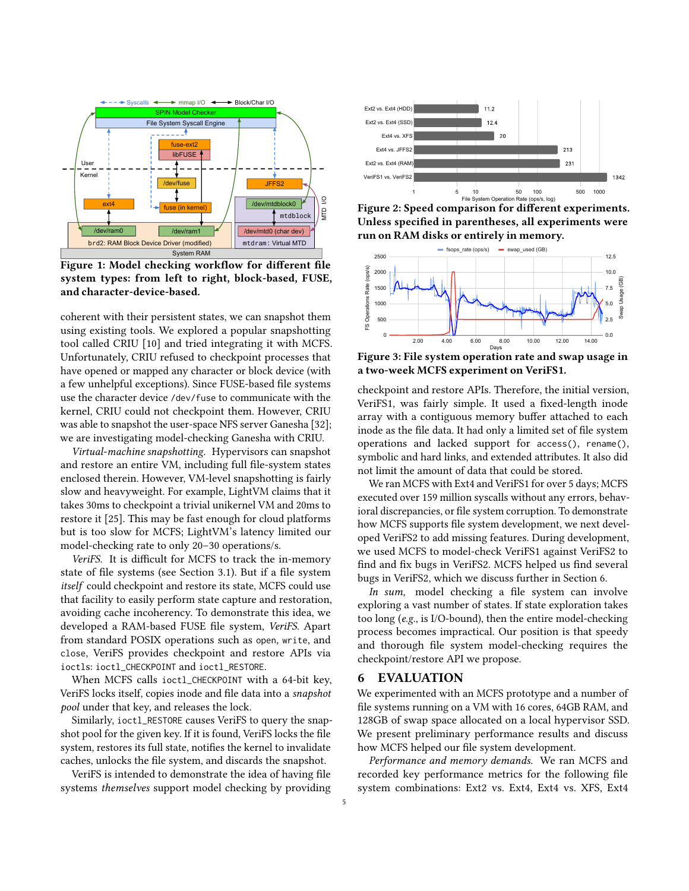

Figure 1: Model checking workflow for different file system types: from left to right, block-based, FUSE, and character-device-based.

coherent with their persistent states, we can snapshot them using existing tools. We explored a popular snapshotting tool called CRIU [10] and tried integrating it with MCFS. Unfortunately, CRIU refused to checkpoint processes that have opened or mapped any character or block device (with a few unhelpful exceptions). Since FUSE-based file systems use the character device /dev/fuse to communicate with the kernel, CRIU could not checkpoint them. However, CRIU was able to snapshot the user-space NFS server Ganesha [32]; we are investigating model-checking Ganesha with CRIU.

*Virtual-machine snapshotting.* Hypervisors can snapshot and restore an entire VM, including full file-system states enclosed therein. However, VM-level snapshotting is fairly slow and heavyweight. For example, LightVM claims that it takes 30ms to checkpoint a trivial unikernel VM and 20ms to restore it [25]. This may be fast enough for cloud platforms but is too slow for MCFS; LightVM's latency limited our model-checking rate to only 20–30 operations/s.

VeriFS. It is difficult for MCFS to track the in-memory state of file systems (see Section 3.1). But if a file system *itself* could checkpoint and restore its state, MCFS could use that facility to easily perform state capture and restoration, avoiding cache incoherency. To demonstrate this idea, we developed a RAM-based FUSE file system, *VeriFS*. Apart from standard POSIX operations such as open, write, and close, VeriFS provides checkpoint and restore APIs via ioctls: ioctl\_CHECKPOINT and ioctl\_RESTORE.

When MCFS calls ioctl\_CHECKPOINT with a 64-bit key, VeriFS locks itself, copies inode and file data into a *snapshot pool* under that key, and releases the lock.

Similarly, ioctl\_RESTORE causes VeriFS to query the snapshot pool for the given key. If it is found, VeriFS locks the file system, restores its full state, notifies the kernel to invalidate caches, unlocks the file system, and discards the snapshot.

VeriFS is intended to demonstrate the idea of having file systems *themselves* support model checking by providing



Figure 2: Speed comparison for different experiments. Unless specified in parentheses, all experiments were run on RAM disks or entirely in memory.



Figure 3: File system operation rate and swap usage in a two-week MCFS experiment on VeriFS1.

checkpoint and restore APIs. Therefore, the initial version, VeriFS1, was fairly simple. It used a fixed-length inode array with a contiguous memory buffer attached to each inode as the file data. It had only a limited set of file system operations and lacked support for access(), rename(), symbolic and hard links, and extended attributes. It also did not limit the amount of data that could be stored.

We ran MCFS with Ext4 and VeriFS1 for over 5 days; MCFS executed over 159 million syscalls without any errors, behavioral discrepancies, or file system corruption. To demonstrate how MCFS supports file system development, we next developed VeriFS2 to add missing features. During development, we used MCFS to model-check VeriFS1 against VeriFS2 to find and fix bugs in VeriFS2. MCFS helped us find several bugs in VeriFS2, which we discuss further in Section 6.

In sum, model checking a file system can involve exploring a vast number of states. If state exploration takes too long (*e.g.*, is I/O-bound), then the entire model-checking process becomes impractical. Our position is that speedy and thorough file system model-checking requires the checkpoint/restore API we propose.

#### 6 EVALUATION

We experimented with an MCFS prototype and a number of file systems running on a VM with 16 cores, 64GB RAM, and 128GB of swap space allocated on a local hypervisor SSD. We present preliminary performance results and discuss how MCFS helped our file system development.

*Performance and memory demands.* We ran MCFS and recorded key performance metrics for the following file system combinations: Ext2 vs. Ext4, Ext4 vs. XFS, Ext4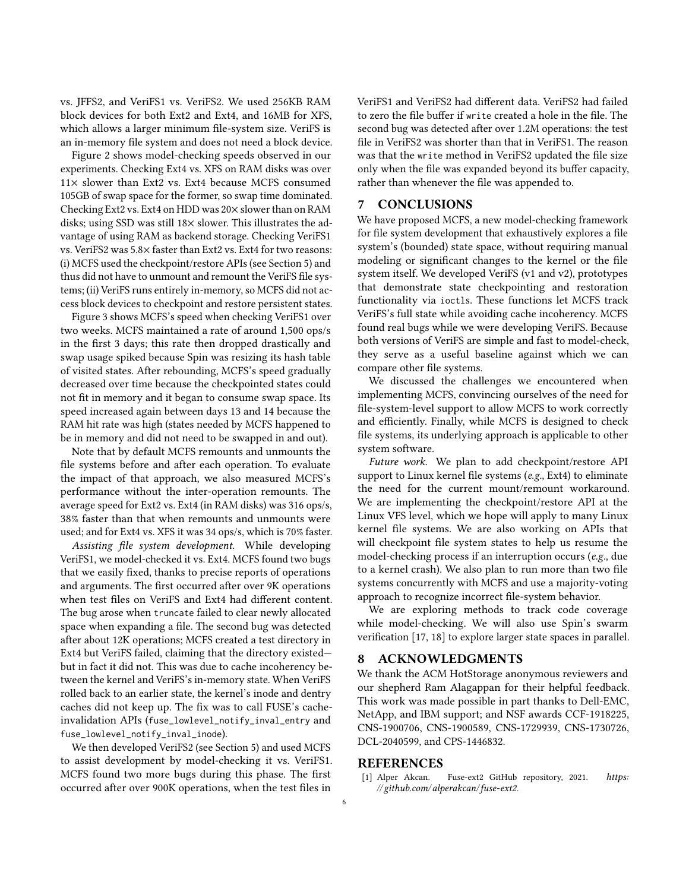vs. JFFS2, and VeriFS1 vs. VeriFS2. We used 256KB RAM block devices for both Ext2 and Ext4, and 16MB for XFS, which allows a larger minimum file-system size. VeriFS is an in-memory file system and does not need a block device.

Figure 2 shows model-checking speeds observed in our experiments. Checking Ext4 vs. XFS on RAM disks was over  $11\times$  slower than Ext2 vs. Ext4 because MCFS consumed 105GB of swap space for the former, so swap time dominated. Checking Ext2 vs. Ext4 on HDD was  $20 \times$  slower than on RAM disks; using SSD was still  $18\times$  slower. This illustrates the advantage of using RAM as backend storage. Checking VeriFS1 vs. VeriFS2 was 5.8× faster than Ext2 vs. Ext4 for two reasons: (i) MCFS used the checkpoint/restore APIs (see Section 5) and thus did not have to unmount and remount the VeriFS file systems; (ii) VeriFS runs entirely in-memory, so MCFS did not access block devices to checkpoint and restore persistent states.

Figure 3 shows MCFS's speed when checking VeriFS1 over two weeks. MCFS maintained a rate of around 1,500 ops/s in the first 3 days; this rate then dropped drastically and swap usage spiked because Spin was resizing its hash table of visited states. After rebounding, MCFS's speed gradually decreased over time because the checkpointed states could not fit in memory and it began to consume swap space. Its speed increased again between days 13 and 14 because the RAM hit rate was high (states needed by MCFS happened to be in memory and did not need to be swapped in and out).

Note that by default MCFS remounts and unmounts the file systems before and after each operation. To evaluate the impact of that approach, we also measured MCFS's performance without the inter-operation remounts. The average speed for Ext2 vs. Ext4 (in RAM disks) was 316 ops/s, 38% faster than that when remounts and unmounts were used; and for Ext4 vs. XFS it was 34 ops/s, which is 70% faster.

*Assisting* !*le system development.* While developing VeriFS1, we model-checked it vs. Ext4. MCFS found two bugs that we easily fixed, thanks to precise reports of operations and arguments. The first occurred after over 9K operations when test files on VeriFS and Ext4 had different content. The bug arose when truncate failed to clear newly allocated space when expanding a file. The second bug was detected after about 12K operations; MCFS created a test directory in Ext4 but VeriFS failed, claiming that the directory existed but in fact it did not. This was due to cache incoherency between the kernel and VeriFS's in-memory state. When VeriFS rolled back to an earlier state, the kernel's inode and dentry caches did not keep up. The fix was to call FUSE's cacheinvalidation APIs (fuse\_lowlevel\_notify\_inval\_entry and fuse\_lowlevel\_notify\_inval\_inode).

We then developed VeriFS2 (see Section 5) and used MCFS to assist development by model-checking it vs. VeriFS1. MCFS found two more bugs during this phase. The first occurred after over 900K operations, when the test files in

VeriFS1 and VeriFS2 had different data. VeriFS2 had failed to zero the file buffer if write created a hole in the file. The second bug was detected after over 1.2M operations: the test file in VeriFS2 was shorter than that in VeriFS1. The reason was that the write method in VeriFS2 updated the file size only when the file was expanded beyond its buffer capacity, rather than whenever the file was appended to.

# 7 CONCLUSIONS

We have proposed MCFS, a new model-checking framework for file system development that exhaustively explores a file system's (bounded) state space, without requiring manual modeling or significant changes to the kernel or the file system itself. We developed VeriFS (v1 and v2), prototypes that demonstrate state checkpointing and restoration functionality via ioctls. These functions let MCFS track VeriFS's full state while avoiding cache incoherency. MCFS found real bugs while we were developing VeriFS. Because both versions of VeriFS are simple and fast to model-check, they serve as a useful baseline against which we can compare other file systems.

We discussed the challenges we encountered when implementing MCFS, convincing ourselves of the need for file-system-level support to allow MCFS to work correctly and efficiently. Finally, while MCFS is designed to check file systems, its underlying approach is applicable to other system software.

*Future work.* We plan to add checkpoint/restore API support to Linux kernel file systems (*e.g.*, Ext4) to eliminate the need for the current mount/remount workaround. We are implementing the checkpoint/restore API at the Linux VFS level, which we hope will apply to many Linux kernel file systems. We are also working on APIs that will checkpoint file system states to help us resume the model-checking process if an interruption occurs (*e.g.*, due to a kernel crash). We also plan to run more than two file systems concurrently with MCFS and use a majority-voting approach to recognize incorrect file-system behavior.

We are exploring methods to track code coverage while model-checking. We will also use Spin's swarm verification [17, 18] to explore larger state spaces in parallel.

# 8 ACKNOWLEDGMENTS

We thank the ACM HotStorage anonymous reviewers and our shepherd Ram Alagappan for their helpful feedback. This work was made possible in part thanks to Dell-EMC, NetApp, and IBM support; and NSF awards CCF-1918225, CNS-1900706, CNS-1900589, CNS-1729939, CNS-1730726, DCL-2040599, and CPS-1446832.

#### REFERENCES

[1] Alper Akcan. Fuse-ext2 GitHub repository, 2021. *https: //github.com/alperakcan/ fuse-ext2*.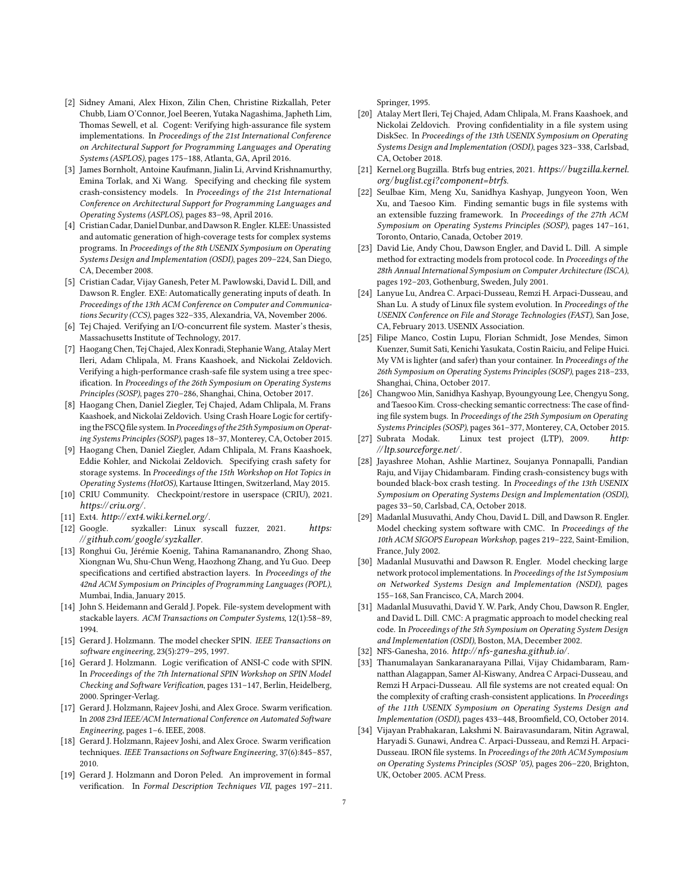- [2] Sidney Amani, Alex Hixon, Zilin Chen, Christine Rizkallah, Peter Chubb, Liam O'Connor, Joel Beeren, Yutaka Nagashima, Japheth Lim, Thomas Sewell, et al. Cogent: Verifying high-assurance file system implementations. In *Proceedings of the 21st International Conference on Architectural Support for Programming Languages and Operating Systems (ASPLOS)*, pages 175–188, Atlanta, GA, April 2016.
- [3] James Bornholt, Antoine Kaufmann, Jialin Li, Arvind Krishnamurthy, Emina Torlak, and Xi Wang. Specifying and checking file system crash-consistency models. In *Proceedings of the 21st International Conference on Architectural Support for Programming Languages and Operating Systems (ASPLOS)*, pages 83–98, April 2016.
- [4] Cristian Cadar, Daniel Dunbar, and Dawson R. Engler. KLEE: Unassisted and automatic generation of high-coverage tests for complex systems programs. In *Proceedings of the 8th USENIX Symposium on Operating Systems Design and Implementation (OSDI)*, pages 209–224, San Diego, CA, December 2008.
- [5] Cristian Cadar, Vijay Ganesh, Peter M. Pawlowski, David L. Dill, and Dawson R. Engler. EXE: Automatically generating inputs of death. In *Proceedings of the 13th ACM Conference on Computer and Communications Security (CCS)*, pages 322–335, Alexandria, VA, November 2006.
- [6] Tej Chajed. Verifying an I/O-concurrent file system. Master's thesis, Massachusetts Institute of Technology, 2017.
- [7] Haogang Chen, Tej Chajed, Alex Konradi, Stephanie Wang, Atalay Mert Ileri, Adam Chlipala, M. Frans Kaashoek, and Nickolai Zeldovich. Verifying a high-performance crash-safe file system using a tree specification. In *Proceedings of the 26th Symposium on Operating Systems Principles (SOSP)*, pages 270–286, Shanghai, China, October 2017.
- [8] Haogang Chen, Daniel Ziegler, Tej Chajed, Adam Chlipala, M. Frans Kaashoek, and Nickolai Zeldovich. Using Crash Hoare Logic for certifying the FSCQ file system. In Proceedings of the 25th Symposium on Operat*ing Systems Principles (SOSP)*, pages 18–37, Monterey, CA, October 2015.
- [9] Haogang Chen, Daniel Ziegler, Adam Chlipala, M. Frans Kaashoek, Eddie Kohler, and Nickolai Zeldovich. Specifying crash safety for storage systems. In *Proceedings of the 15th Workshop on Hot Topics in Operating Systems (HotOS)*, Kartause Ittingen, Switzerland, May 2015.
- [10] CRIU Community. Checkpoint/restore in userspace (CRIU), 2021. *https:// criu.org/*.
- [11] Ext4. *http:// ext4.wiki.kernel.org/*.
- [12] Google. syzkaller: Linux syscall fuzzer, 2021. *https: //github.com/google/ syzkaller*.
- [13] Ronghui Gu, Jérémie Koenig, Tahina Ramananandro, Zhong Shao, Xiongnan Wu, Shu-Chun Weng, Haozhong Zhang, and Yu Guo. Deep specifications and certified abstraction layers. In *Proceedings of the 42nd ACM Symposium on Principles of Programming Languages (POPL)*, Mumbai, India, January 2015.
- [14] John S. Heidemann and Gerald J. Popek. File-system development with stackable layers. *ACM Transactions on Computer Systems*, 12(1):58–89, 1994.
- [15] Gerard J. Holzmann. The model checker SPIN. *IEEE Transactions on software engineering*, 23(5):279–295, 1997.
- [16] Gerard J. Holzmann. Logic verification of ANSI-C code with SPIN. In *Proceedings of the 7th International SPIN Workshop on SPIN Model* Checking and Software Verification, pages 131-147, Berlin, Heidelberg, 2000. Springer-Verlag.
- [17] Gerard J. Holzmann, Rajeev Joshi, and Alex Groce. Swarm verification. In *2008 23rd IEEE/ACM International Conference on Automated Software Engineering*, pages 1–6. IEEE, 2008.
- [18] Gerard J. Holzmann, Rajeev Joshi, and Alex Groce. Swarm verification techniques. *IEEE Transactions on Software Engineering*, 37(6):845–857, 2010.
- [19] Gerard J. Holzmann and Doron Peled. An improvement in formal verification. In *Formal Description Techniques VII*, pages 197-211.

Springer, 1995.

- [20] Atalay Mert Ileri, Tej Chajed, Adam Chlipala, M. Frans Kaashoek, and Nickolai Zeldovich. Proving confidentiality in a file system using DiskSec. In *Proceedings of the 13th USENIX Symposium on Operating Systems Design and Implementation (OSDI)*, pages 323–338, Carlsbad, CA, October 2018.
- [21] Kernel.org Bugzilla. Btrfs bug entries, 2021. *https://bugzilla.kernel. org/buglist.cgi?component=btrfs*.
- [22] Seulbae Kim, Meng Xu, Sanidhya Kashyap, Jungyeon Yoon, Wen Xu, and Taesoo Kim. Finding semantic bugs in file systems with an extensible fuzzing framework. In *Proceedings of the 27th ACM Symposium on Operating Systems Principles (SOSP)*, pages 147–161, Toronto, Ontario, Canada, October 2019.
- [23] David Lie, Andy Chou, Dawson Engler, and David L. Dill. A simple method for extracting models from protocol code. In *Proceedings of the 28th Annual International Symposium on Computer Architecture (ISCA)*, pages 192–203, Gothenburg, Sweden, July 2001.
- [24] Lanyue Lu, Andrea C. Arpaci-Dusseau, Remzi H. Arpaci-Dusseau, and Shan Lu. A study of Linux file system evolution. In *Proceedings of the USENIX Conference on File and Storage Technologies (FAST)*, San Jose, CA, February 2013. USENIX Association.
- [25] Filipe Manco, Costin Lupu, Florian Schmidt, Jose Mendes, Simon Kuenzer, Sumit Sati, Kenichi Yasukata, Costin Raiciu, and Felipe Huici. My VM is lighter (and safer) than your container. In *Proceedings of the 26th Symposium on Operating Systems Principles (SOSP)*, pages 218–233, Shanghai, China, October 2017.
- [26] Changwoo Min, Sanidhya Kashyap, Byoungyoung Lee, Chengyu Song, and Taesoo Kim. Cross-checking semantic correctness: The case of finding file system bugs. In *Proceedings of the 25th Symposium on Operating Systems Principles (SOSP)*, pages 361–377, Monterey, CA, October 2015.
- [27] Subrata Modak. Linux test project (LTP), 2009. *http: //ltp.sourceforge.net/*.
- [28] Jayashree Mohan, Ashlie Martinez, Soujanya Ponnapalli, Pandian Raju, and Vijay Chidambaram. Finding crash-consistency bugs with bounded black-box crash testing. In *Proceedings of the 13th USENIX Symposium on Operating Systems Design and Implementation (OSDI)*, pages 33–50, Carlsbad, CA, October 2018.
- [29] Madanlal Musuvathi, Andy Chou, David L. Dill, and Dawson R. Engler. Model checking system software with CMC. In *Proceedings of the 10th ACM SIGOPS European Workshop*, pages 219–222, Saint-Emilion, France, July 2002.
- [30] Madanlal Musuvathi and Dawson R. Engler. Model checking large network protocol implementations. In *Proceedings of the 1st Symposium on Networked Systems Design and Implementation (NSDI)*, pages 155–168, San Francisco, CA, March 2004.
- [31] Madanlal Musuvathi, David Y. W. Park, Andy Chou, Dawson R. Engler, and David L. Dill. CMC: A pragmatic approach to model checking real code. In *Proceedings of the 5th Symposium on Operating System Design and Implementation (OSDI)*, Boston, MA, December 2002.
- [32] NFS-Ganesha, 2016. *http:// nfs-ganesha.github.io/*.
- [33] Thanumalayan Sankaranarayana Pillai, Vijay Chidambaram, Ramnatthan Alagappan, Samer Al-Kiswany, Andrea C Arpaci-Dusseau, and Remzi H Arpaci-Dusseau. All file systems are not created equal: On the complexity of crafting crash-consistent applications. In *Proceedings of the 11th USENIX Symposium on Operating Systems Design and Implementation (OSDI)*, pages 433-448, Broomfield, CO, October 2014.
- [34] Vijayan Prabhakaran, Lakshmi N. Bairavasundaram, Nitin Agrawal, Haryadi S. Gunawi, Andrea C. Arpaci-Dusseau, and Remzi H. Arpaci-Dusseau. IRON file systems. In *Proceedings of the 20th ACM Symposium on Operating Systems Principles (SOSP '05)*, pages 206–220, Brighton, UK, October 2005. ACM Press.